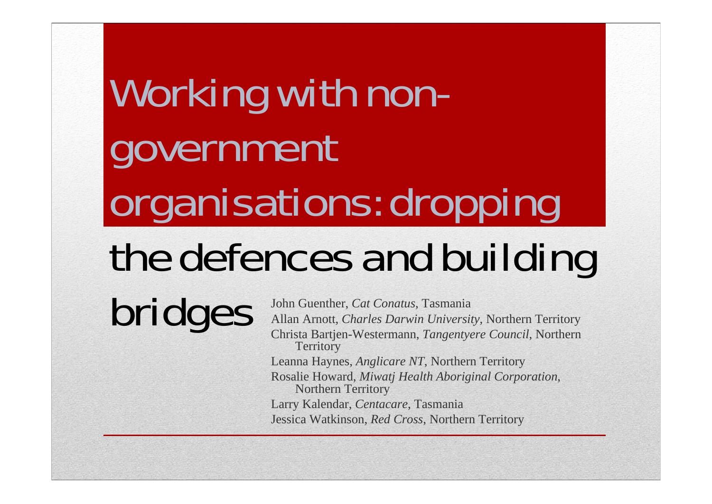# Working with nongovernment organisations: dropping the defences and building

**bridges** John Guenther, *Cat Conatus*, Tasmania<br>Allan Arnott, *Charles Darwin University*, Northern Territory<br>Christa Bartjen-Westermann, *Tangentyere Council*, Northern **Territory** Leanna Haynes, *Anglicare NT*, Northern Territory Rosalie Howard, *Miwatj Health Aboriginal Corporation*, Northern Territory Larry Kalendar, *Centacare*, Tasmania Jessica Watkinson, *Red Cross*, Northern Territory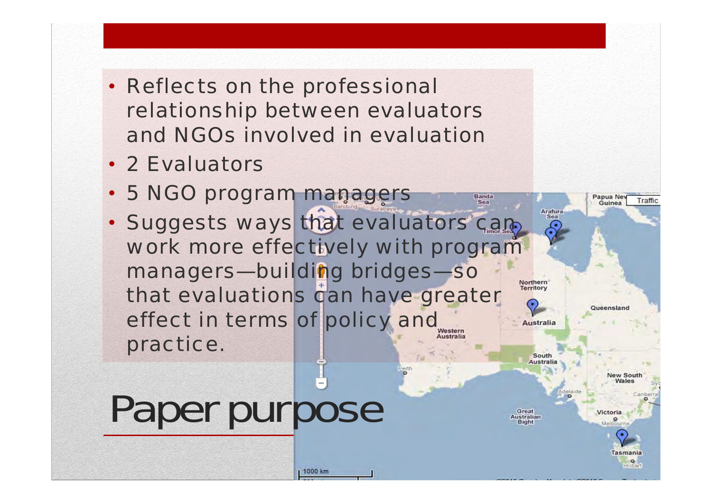- *Reflects on the professional relationship between evaluators and NGOs involved in evaluation*
- *2 Evaluators*
- *5 NGO program managers*
- *Suggests ways that evaluators can work more effectively with program managers—building bridges—so that evaluations can have greater effect in terms of policy and*  **<u>ustralia</u>** *practice.*

# Paper purpose

Great **Australian Bight** 

**Northern** Territory

**Australia** 

South **Australia** 

Banda

Sea



 $\circ$ Hobart

**New South** Wales

Papua Ney

Guinea

Queensland

Arafura **Sea** 

Traffic

1000 km

Perti

delaide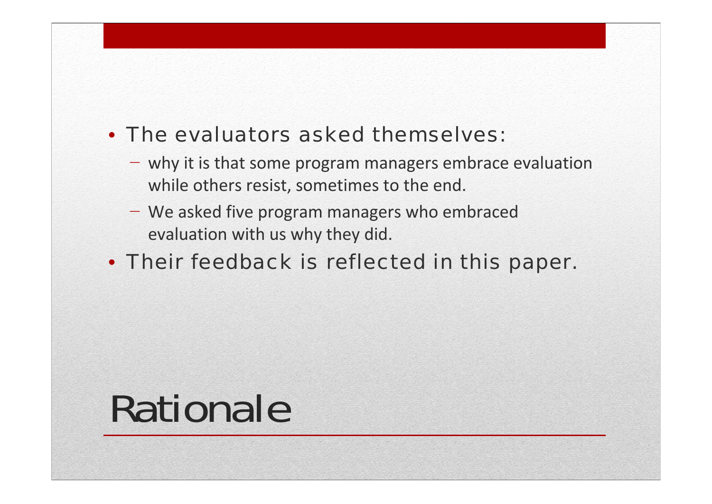### • *The evaluators asked themselves:*

- − why it is that some program managers embrace evaluation while others resist, sometimes to the end.
- − We asked five program managers who embraced evaluation with us why they did.

### • *Their feedback is reflected in this paper.*

### Rationale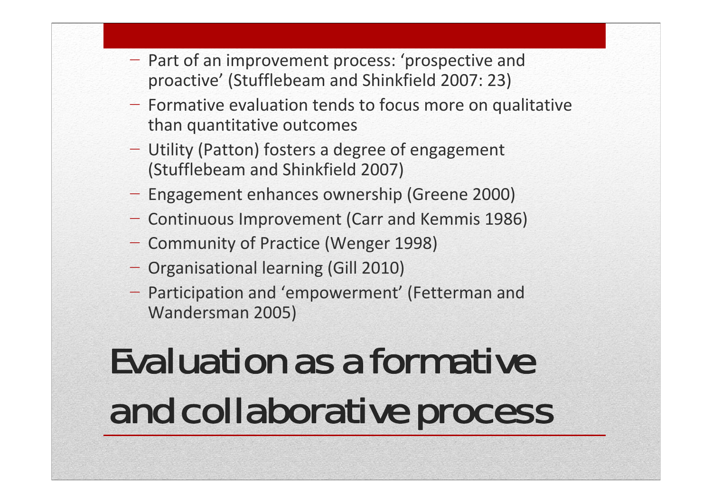- − Part of an improvement process: 'prospective and proactive' (Stufflebeam and Shinkfield 2007: 23)
- − Formative evaluation tends to focus more on qualitative than quantitative outcomes
- − Utility (Patton) fosters a degree of engagement (Stufflebeam and Shinkfield 2007)
- − Engagement enhances ownership (Greene 2000)
- − Continuous Improvement (Carr and Kemmis 1986)
- − Community of Practice (Wenger 1998)
- − Organisational learning (Gill 2010)
- − Participation and 'empowerment' (Fetterman and Wandersman 2005)

### Evaluation as a formative and collaborative process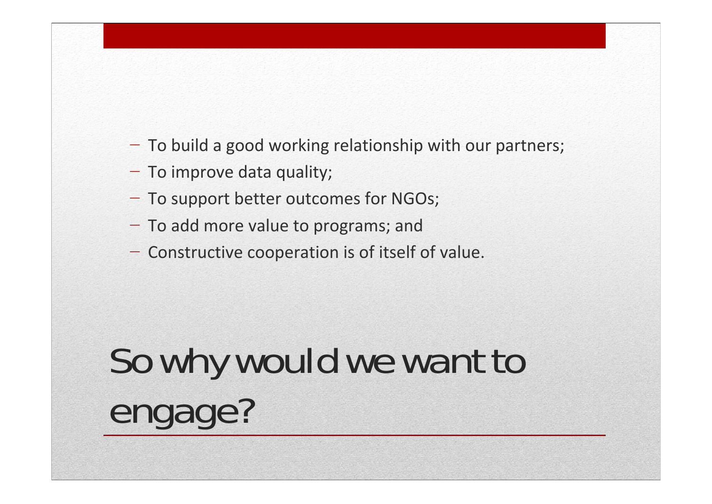- − To build a good working relationship with our partners;
- − To improve data quality;
- − To support better outcomes for NGOs;
- − To add more value to programs; and
- − Constructive cooperation is of itself of value.

## So why would we want to engage?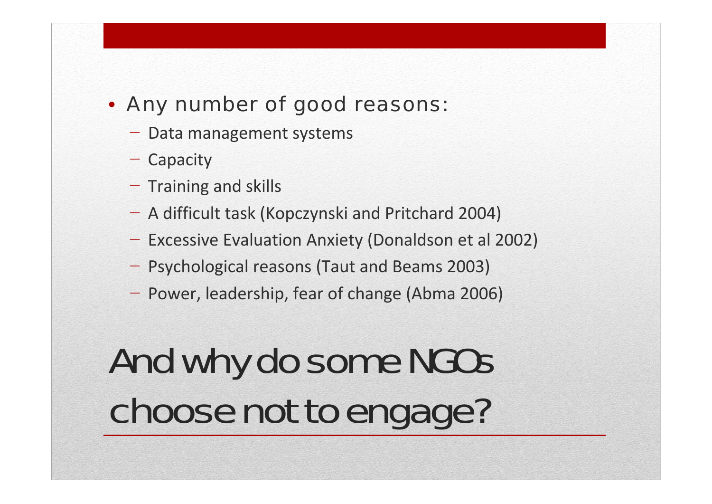#### • *Any number of good reasons:*

- − Data management systems
- − Capacity
- − Training and skills
- A difficult task (Kopczynski and Pritchard 2004)
- − Excessive Evaluation Anxiety (Donaldson et al 2002)
- − Psychological reasons (Taut and Beams 2003)
- − Power, leadership, fear of change (Abma 2006)

### And why do some NGOs choose not to engage?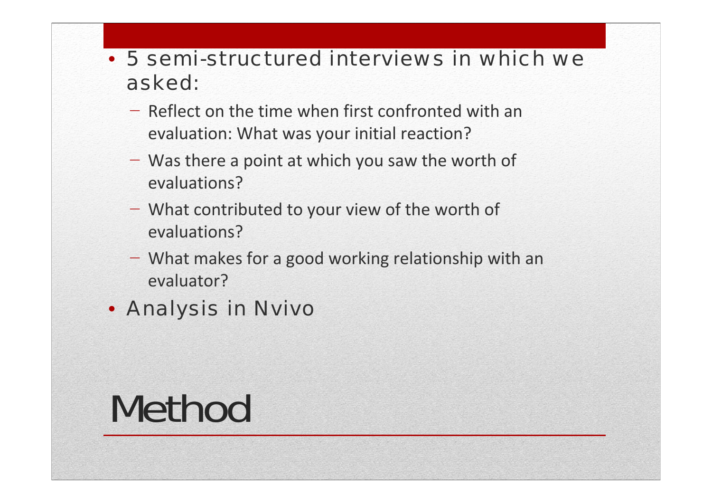#### • *5 semi-structured interviews in which we asked:*

- − Reflect on the time when first confronted with an evaluation: What was your initial reaction?
- − Was there <sup>a</sup> point at which you saw the worth of evaluations?
- − What contributed to your view of the worth of evaluations?
- − What makes for <sup>a</sup> good working relationship with an evaluator?
- *Analysis in Nvivo*

### Method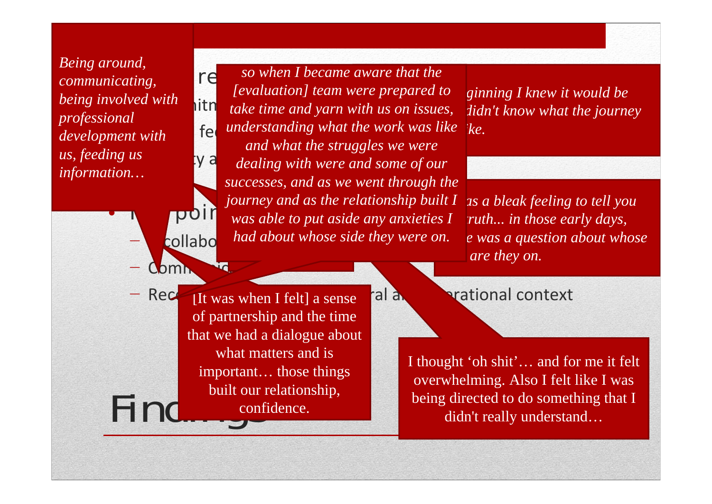*being involved with* **ith** *tok* −*development with*  −*us, feeding us Being around, communicating, professional information…*

**Comn** 

*Integral reactions I Integral so when I became aware that the [evaluation] team were prepared to u* is a like the work was like interview of the work was like intervalue in the work was like intervalue in the work was like intervalue in the work was like intervalue in the work was like intervalue in the work was like Anxiety and vulnerability *dealing with were and some of our*  **The point of the put aside any anxieties I**  $\overline{I}$  **ridiculous** collabo $\blacksquare$  had about whose. At the time I *successes, and as we went through the*  they and as the about whe *take time and yarn with us on issues, and what the struggles we were journey and as the relationship built I had about whose side they were on.*

*Right from the beginning I knew it would be didn't know what the journey* 

*It was a bleak feeling to tell you*  truth... in those early days,  *was a question about whose are they on.* 

Find confi  $Rec$  It was when I felt] a sense call and operational context of partnership and the time that we had a dialogue about what matters and is important… those things built our relationship, confidence.

I thought 'oh shit'… and for me it felt overwhelming. Also I felt like I was being directed to do something that I didn't really understand…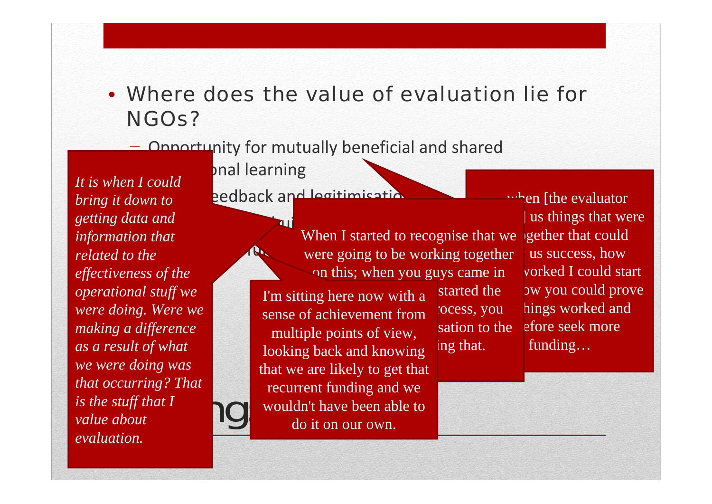### • *Where does the value of evaluation lie for NGOs?*

#### − Opportunity for mutually beneficial and shared

pnal learning

 $\begin{array}{ccc} \textit{is the stuff that I} & & \begin{array}{|c|c|}\end{array} \end{array}$ −*bring it down to*  −*getting data and*  − Potential for funding *related to the It is when I could information that effectiveness of the operational stuff we were doing. Were we making a difference as a result of what we were doing was that occurring? That value about evaluation.*

eedback and legitimisation

 Opportunity for building the evidence base When I started to recognise that we gether that could were going to be working together on this; when you guys came in

> I'm sitting here now with a started the sense of achievement from cocess, you multiple points of view, sation to the looking back and knowing  $\log$  that. that we are likely to get that recurrent funding and we wouldn't have been able to do it on our own.

when [the evaluator] us things that were us success, how vorked I could start started the bw you could prove how bings worked and sation to the efore seek more funding…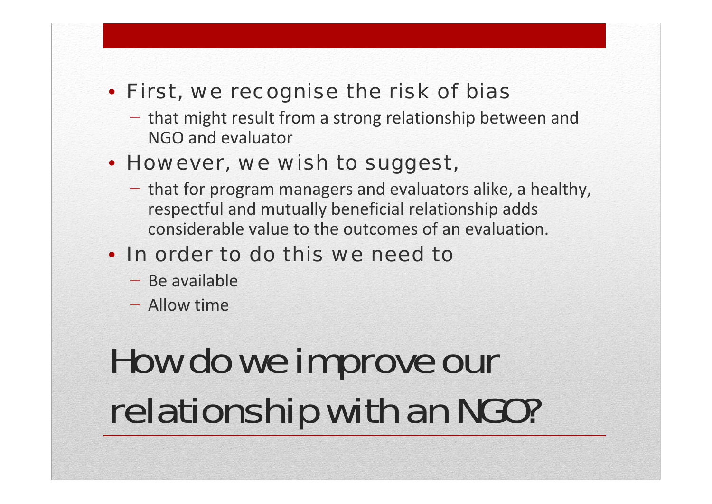### • *First, we recognise the risk of bias*

− that might result from a strong relationship between and NGO and evaluator

### • *However, we wish to suggest,*

- − that for program managers and evaluators alike, a healthy, respectful and mutually beneficial relationship adds considerable value to the outcomes of an evaluation.
- *In order to do this we need to*
	- − Be available
	- − Allow time

### How do we improve our relationship with an NGO?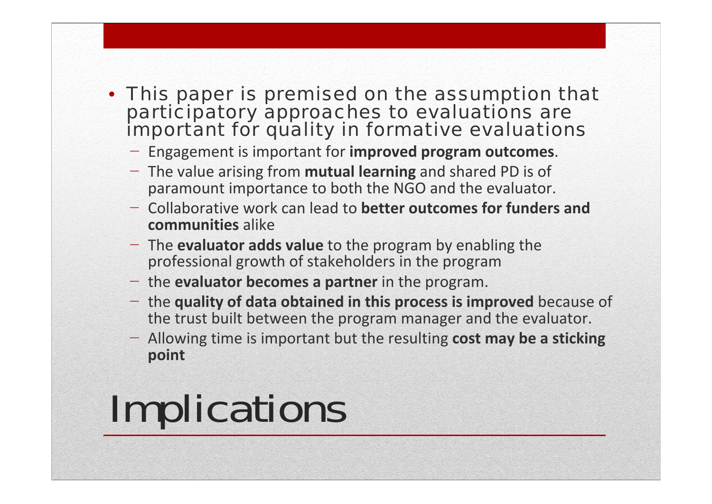#### • *This paper is premised on the assumption that participatory approaches to evaluations are important for quality in formative evaluations*

- − Engagement is important for **improved program outcomes**.
- − The value arising from **mutual learning** and shared PD is of paramount importance to both the NGO and the evaluator.
- − Collaborative work can lead to **better outcomes for funders and communities** alike
- − The **evaluator adds value** to the program by enabling the professional growth of stakeholders in the program
- − the **evaluator becomes a partner** in the program.
- − the **quality of data obtained in this process is improved** because of the trust built between the program manager and the evaluator.
- − Allowing time is important but the resulting **cost may be a sticking point**

## Implications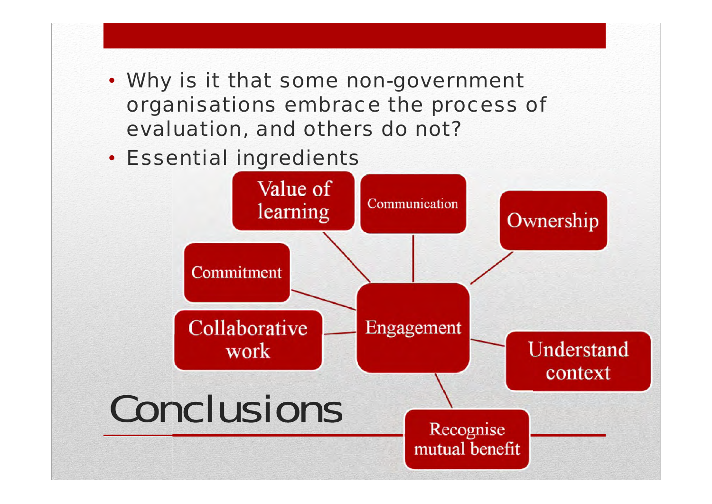- *Why is it that some non-government organisations embrace the process of evaluation, and others do not?*
- *Essential ingredients*